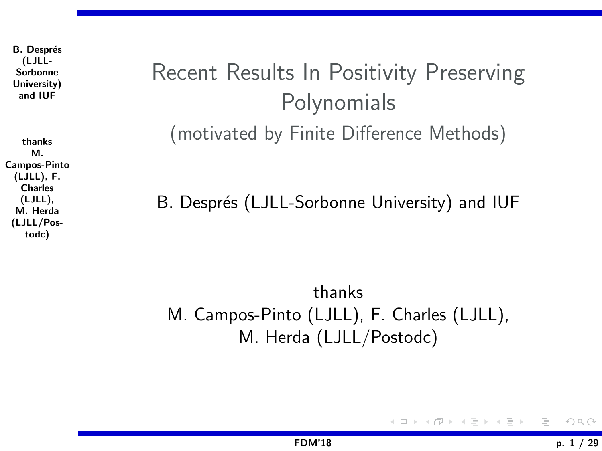**B.** Després (LJLL-Sorbonne University) and IUF

thanks M. Campos-Pinto (LJLL), F. Charles (LJLL), M. Herda (LJLL/Postodc)

# <span id="page-0-0"></span>Recent Results In Positivity Preserving **Polynomials** (motivated by Finite Difference Methods)

B. Després (LJLL-Sorbonne University) and IUF

thanks M. Campos-Pinto (LJLL), F. Charles (LJLL), M. Herda (LJLL/Postodc)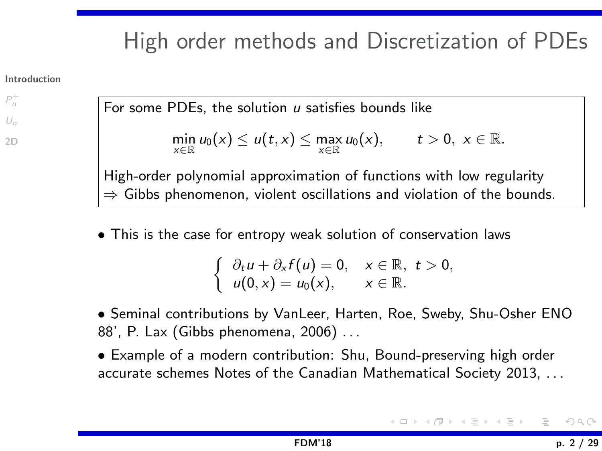# <span id="page-1-0"></span>High order methods and Discretization of PDEs

#### [Introduction](#page-1-0)

 $P_n^+$  $P_n^+$  $U_n$  $U_n$ 

 $2D$ 

For some PDEs, the solution  $u$  satisfies bounds like

$$
\min_{x\in\mathbb{R}} u_0(x) \leq u(t,x) \leq \max_{x\in\mathbb{R}} u_0(x), \qquad t>0, \ x\in\mathbb{R}.
$$

High-order polynomial approximation of functions with low regularity  $\Rightarrow$  Gibbs phenomenon, violent oscillations and violation of the bounds.

• This is the case for entropy weak solution of conservation laws

$$
\begin{cases}\n\partial_t u + \partial_x f(u) = 0, & x \in \mathbb{R}, \ t > 0, \\
u(0, x) = u_0(x), & x \in \mathbb{R}.\n\end{cases}
$$

• Seminal contributions by VanLeer, Harten, Roe, Sweby, Shu-Osher ENO 88', P. Lax (Gibbs phenomena, 2006) . . .

• Example of a modern contribution: Shu, Bound-preserving high order accurate schemes Notes of the Canadian Mathematical Society 2013, . . .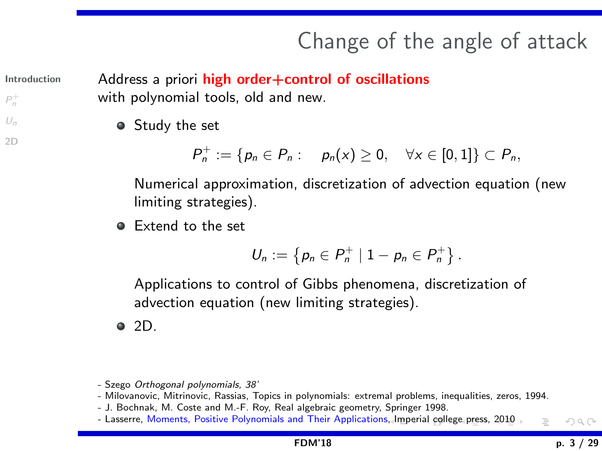# Change of the angle of attack

[Introduction](#page-1-0)

 $P_n^+$  $P_n^+$  $U_n$  $U_n$ [2D](#page-23-0) <span id="page-2-0"></span>Address a priori high order+control of oscillations with polynomial tools, old and new.

• Study the set

 $P_n^+ := \{ p_n \in P_n : \quad p_n(x) \geq 0, \quad \forall x \in [0,1] \} \subset P_n,$ 

Numerical approximation, discretization of advection equation (new limiting strategies).

• Extend to the set

$$
U_n := \{ p_n \in P_n^+ \mid 1 - p_n \in P_n^+ \}.
$$

Applications to control of Gibbs phenomena, discretization of advection equation (new limiting strategies).

 $\bullet$  2D.

- Milovanovic, Mitrinovic, Rassias, Topics in polynomials: extremal problems, inequalities, zeros, 1994.
- J. Bochnak, M. Coste and M.-F. Roy, Real algebraic geometry, Springer 1998.
- Lasserre, Moments, Positive Polynomials and Their Application[s, Im](#page-1-0)[peri](#page-3-0)[al](#page-1-0) [coll](#page-2-0)[eg](#page-3-0)[e](#page-0-0) [pr](#page-1-0)[es](#page-2-0)[s,](#page-3-0) [2](#page-0-0)[01](#page-1-0)[0](#page-2-0)  $OQ$

<sup>-</sup> Szego Orthogonal polynomials, 38'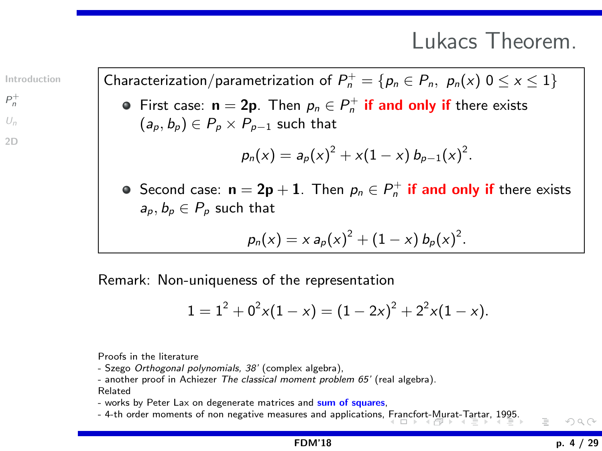## Lukacs Theorem.

[Introduction](#page-1-0)

 $P_n^+$  $P_n^+$  $U_n$  $U_n$ 

 $2D$ 

<span id="page-3-0"></span>Characterization/parametrization of  $P_n^+ = \{p_n \in P_n, \ p_n(x) \in S \leq x \leq 1\}$ 

First case:  $\mathbf{n} = 2\mathbf{p}$ . Then  $p_n \in P_n^+$  if and only if there exists  $(a_p, b_p) \in P_p \times P_{p-1}$  such that

$$
p_n(x) = a_p(x)^2 + x(1-x) b_{p-1}(x)^2.
$$

Second case:  $\mathbf{n} = 2\mathbf{p} + \mathbf{1}$ . Then  $\rho_n \in P_n^+$  if and only if there exists  $a_p, b_p \in P_p$  such that

$$
p_n(x) = x a_p(x)^2 + (1 - x) b_p(x)^2.
$$

Remark: Non-uniqueness of the representation

$$
1 = 12 + 02x(1 - x) = (1 - 2x)2 + 22x(1 - x).
$$

Proofs in the literature

- Szego Orthogonal polynomials, 38' (complex algebra),

- another proof in Achiezer The classical moment problem 65' (real algebra). Related

- works by Peter Lax on degenerate matrices and sum of squares,

- 4-th order moments of non negative measures and applications, [Fra](#page-2-0)n[cfo](#page-4-0)[rt-](#page-2-0)[Mu](#page-3-0)[rat](#page-4-0)[-T](#page-2-0)[a](#page-3-0)[rt](#page-13-0)[ar,](#page-14-0) [1](#page-2-0)[99](#page-3-0)[5](#page-13-0)[.](#page-14-0)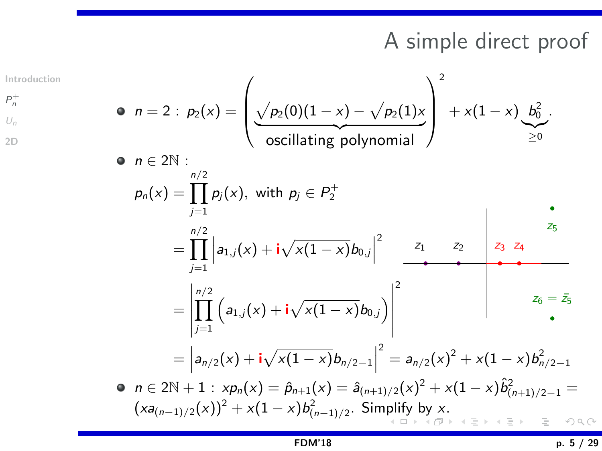# A simple direct proof

 $P_n^+$  $P_n^+$  $U_n$  $U_n$ [2D](#page-23-0)  $\bullet$   $n \in 2\mathbb{N}$ :

[Introduction](#page-1-0)

<span id="page-4-0"></span>• 
$$
n = 2 : p_2(x) = \left(\frac{\sqrt{p_2(0)}(1-x) - \sqrt{p_2(1)}x}{\text{oscillating polynomial}}\right)^2 + x(1-x) \underbrace{b_0^2}_{\geq 0}.
$$

$$
p_n(x) = \prod_{j=1}^{n/2} p_j(x), \text{ with } p_j \in P_2^+
$$
  
= 
$$
\prod_{j=1}^{n/2} \left| a_{1,j}(x) + i \sqrt{x(1-x)} b_{0,j} \right|^2 \xrightarrow{z_1} \qquad z_2
$$
  
= 
$$
\prod_{j=1}^{n/2} |a_{1,j}(x) + i \sqrt{x(1-x)} b_{0,j}|^2 \xrightarrow{z_1} \qquad z_2
$$

$$
= \left| \prod_{j=1}^{n/2} \left( a_{1,j}(x) + i \sqrt{x(1-x)} b_{0,j} \right) \right|^2 \qquad \qquad z_6 = \bar{z}_5
$$

$$
= \left| a_{n/2}(x) + \mathbf{i}\sqrt{x(1-x)}b_{n/2-1} \right|^2 = a_{n/2}(x)^2 + x(1-x)b_{n/2-1}^2
$$

$$
\begin{array}{lll}\n\bullet & n \in 2\mathbb{N} + 1: x p_n(x) = \hat{p}_{n+1}(x) = \hat{a}_{(n+1)/2}(x)^2 + x(1-x)\hat{b}_{(n+1)/2-1}^2 = \\
(xa_{(n-1)/2}(x))^2 + x(1-x)b_{(n-1)/2}^2. & \text{Simplify by } x.\n\end{array}
$$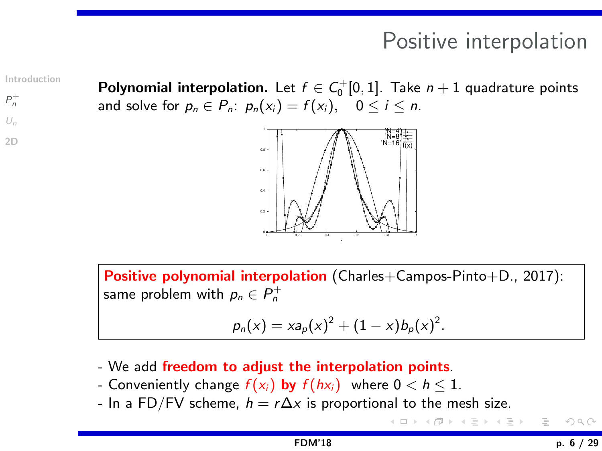# Positive interpolation

← ランドミンド (言)

[Introduction](#page-1-0)

 $P_n^+$  $P_n^+$  $U_n$  $U_n$ 

[2D](#page-23-0)

<span id="page-5-0"></span>**Polynomial interpolation.** Let  $f \in C_0^+[0,1]$ . Take  $n+1$  quadrature points and solve for  $p_n \in P_n$ :  $p_n(x_i) = f(x_i)$ ,  $0 \le i \le n$ .



Positive polynomial interpolation (Charles+Campos-Pinto+D., 2017): same problem with  $\rho_n \in P_n^+$ 

$$
p_n(x) = x a_p(x)^2 + (1 - x) b_p(x)^2.
$$

- We add freedom to adjust the interpolation points.
- Conveniently change  $f(x_i)$  by  $f(hx_i)$  where  $0 < h \leq 1$ .
- In a FD/FV scheme,  $h = r\Delta x$  is proportional to the mesh size.

[FDM'18](#page-0-0) p. 6 / 29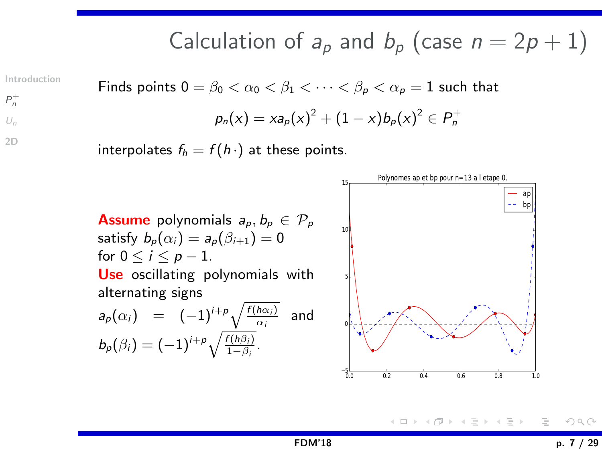Calculation of 
$$
a_p
$$
 and  $b_p$  (case  $n = 2p + 1$ )

[Introduction](#page-1-0)

 $P_n^+$  $P_n^+$  $U_n$  $U_n$ [2D](#page-23-0)

Finds points 
$$
0 = \beta_0 < \alpha_0 < \beta_1 < \cdots < \beta_p < \alpha_p = 1
$$
 such that

\n
$$
p_n(x) = x a_p(x)^2 + (1 - x) b_p(x)^2 \in P_n^+
$$

interpolates  $f_h = f(h \cdot)$  at these points.



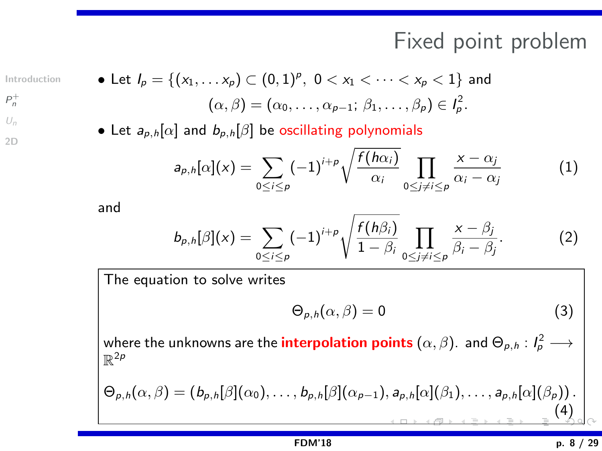## Fixed point problem

[Introduction](#page-1-0)

 $P_n^+$  $P_n^+$  $U_n$  $U_n$ 

[2D](#page-23-0)

 $(\alpha, \beta) = (\alpha_0, \ldots, \alpha_{p-1}; \beta_1, \ldots, \beta_p) \in I_p^2.$ • Let  $a_{p,h}[\alpha]$  and  $b_{p,h}[\beta]$  be oscillating polynomials

• Let  $I_p = \{(x_1, \ldots x_p) \subset (0,1)^p, \; 0 < x_1 < \cdots < x_p < 1\}$  and

$$
a_{p,h}[\alpha](x) = \sum_{0 \le i \le p} (-1)^{i+p} \sqrt{\frac{f(h\alpha_i)}{\alpha_i}} \prod_{0 \le j \ne i \le p} \frac{x - \alpha_j}{\alpha_i - \alpha_j} \tag{1}
$$

and

$$
b_{p,h}[\beta](x)=\sum_{0\leq i\leq p}(-1)^{i+p}\sqrt{\frac{f(h\beta_i)}{1-\beta_i}}\prod_{0\leq j\neq i\leq p}\frac{x-\beta_j}{\beta_i-\beta_j}.
$$
 (2)

The equation to solve writes

$$
\Theta_{p,h}(\alpha,\beta)=0\tag{3}
$$

where the unknowns are the <mark>interpolation points</mark>  $(\alpha,\beta)$ . and  $\Theta_{\rho,h}:I_{\rho}^2\longrightarrow$  $\mathbb{R}^{2p}$ 

$$
\Theta_{p,h}(\alpha,\beta)=(b_{p,h}[\beta](\alpha_0),\ldots,b_{p,h}[\beta](\alpha_{p-1}),a_{p,h}[\alpha](\beta_1),\ldots,a_{p,h}[\alpha](\beta_p)).
$$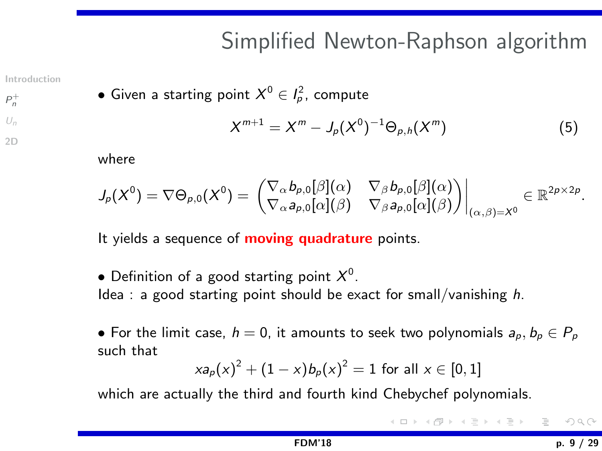# Simplified Newton-Raphson algorithm

[Introduction](#page-1-0)

 $P_n^+$  $P_n^+$  $U_n$  $U_n$ [2D](#page-23-0)  $\bullet$  Given a starting point  $X^0\in I^2_\rho$ , compute

$$
X^{m+1} = X^m - J_p(X^0)^{-1} \Theta_{p,h}(X^m)
$$
 (5)

where

$$
J_p(X^0) = \nabla \Theta_{p,0}(X^0) = \begin{pmatrix} \nabla_\alpha b_{p,0}[\beta](\alpha) & \nabla_\beta b_{p,0}[\beta](\alpha) \\ \nabla_\alpha a_{p,0}[\alpha](\beta) & \nabla_\beta a_{p,0}[\alpha](\beta) \end{pmatrix} \Big|_{(\alpha,\beta) = X^0} \in \mathbb{R}^{2p \times 2p}.
$$

It yields a sequence of **moving quadrature** points.

 $\bullet$  Definition of a good starting point  $X^0.$ Idea : a good starting point should be exact for small/vanishing  $h$ .

• For the limit case,  $h = 0$ , it amounts to seek two polynomials  $a_p, b_p \in P_p$ such that

$$
xa_p(x)^2 + (1-x)b_p(x)^2 = 1
$$
 for all  $x \in [0,1]$ 

which are actually the third and fourth kind Chebychef polynomials.

≮ 倒 ▶ ( 三 ▶ ( 三 ▶ )  $OQ$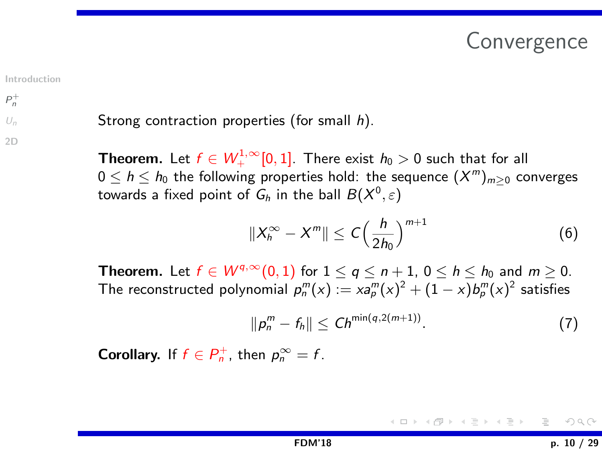## Convergence

<span id="page-9-0"></span>[Introduction](#page-1-0)

 $P_n^+$  $P_n^+$ 

[2D](#page-23-0)

#### $U_n$  $U_n$ Strong contraction properties (for small h).

**Theorem.** Let  $f \in W^{1,\infty}_{+}[0,1]$ . There exist  $h_0 > 0$  such that for all  $0\leq h\leq h_0$  the following properties hold: the sequence  $(X^m)_{m\geq 0}$  converges towards a fixed point of  $\mathsf{G}_h$  in the ball  $B(X^0,\varepsilon)$ 

$$
||X_h^{\infty}-X^m||\leq C\Big(\frac{h}{2h_0}\Big)^{m+1}\tag{6}
$$

**Theorem.** Let  $f \in W^{q,\infty}(0,1)$  for  $1 < q < n+1$ ,  $0 < h < h_0$  and  $m > 0$ . The reconstructed polynomial  $\rho^m_n(x):= x a^m_p(x)^2 + (1-x) b^m_p(x)^2$  satisfies

$$
||p_n^m - f_h|| \leq Ch^{\min(q, 2(m+1))}.
$$
 (7)

**Corollary.** If  $f \in P_n^+$ , then  $p_n^{\infty} = f$ .

イロト イ部 トイヨ トイヨト  $OQ$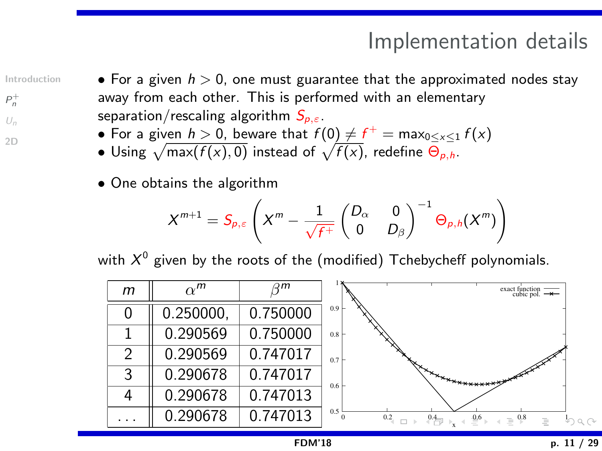# Implementation details

[Introduction](#page-1-0)

 $P_n^+$  $P_n^+$  $U_n$  $U_n$ [2D](#page-23-0)

- <span id="page-10-0"></span>• For a given  $h > 0$ , one must guarantee that the approximated nodes stay away from each other. This is performed with an elementary separation/rescaling algorithm  $S_{p,\varepsilon}$ .
	- $\bullet$  For a given  $h>0$ , beware that  $f(0)\neq f^+=\mathsf{max}_{0\leq x\leq 1} \, f(x)$
	- $\bullet$  Using  $\sqrt{\text{max}(f(x), 0)}$  instead of  $\sqrt{f(x)}$ , redefine  $\Theta_{p,h}$ .
	- One obtains the algorithm

$$
X^{m+1} = S_{p,\varepsilon} \left( X^m - \frac{1}{\sqrt{f^+}} \begin{pmatrix} D_\alpha & 0 \\ 0 & D_\beta \end{pmatrix}^{-1} \Theta_{p,h}(X^m) \right)
$$

with  $X^0$  given by the roots of the (modified) <code>Tchebycheff</code> polynomials.

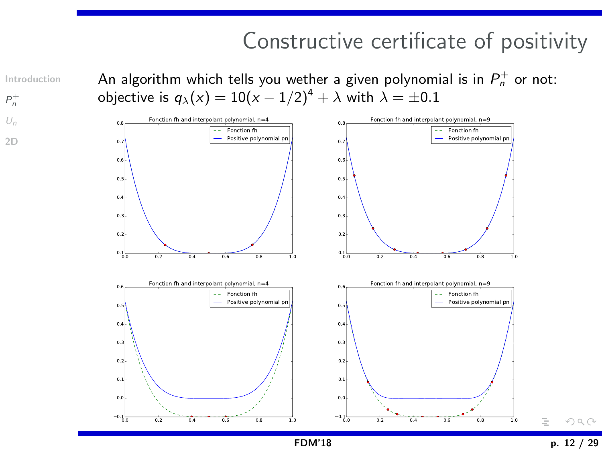## Constructive certificate of positivity

<span id="page-11-0"></span>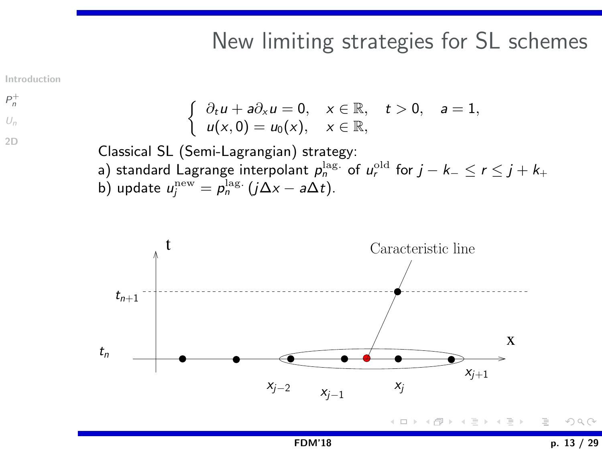#### New limiting strategies for SL schemes

<span id="page-12-0"></span>[Introduction](#page-1-0)

$$
\begin{cases}\n\frac{\partial_t u}{\partial t} & \text{if } t > 0, \quad a = 1, \\
u(x, 0) = u_0(x), & x \in \mathbb{R}, \quad t > 0, \quad a = 1, \\
u(x, 0) = u_0(x), & x \in \mathbb{R},\n\end{cases}
$$

Classical SL (Semi-Lagrangian) strategy: a) standard Lagrange interpolant  $\rho_n^{\rm lag.}$  of  $\mu_r^{\rm old}$  for  $j-k_- \leq r \leq j+k_+$ b) update  $u_j^{\text{new}} = \rho_n^{\text{lag.}}(j\Delta x - a\Delta t)$ .



<差)→差>  $OQ$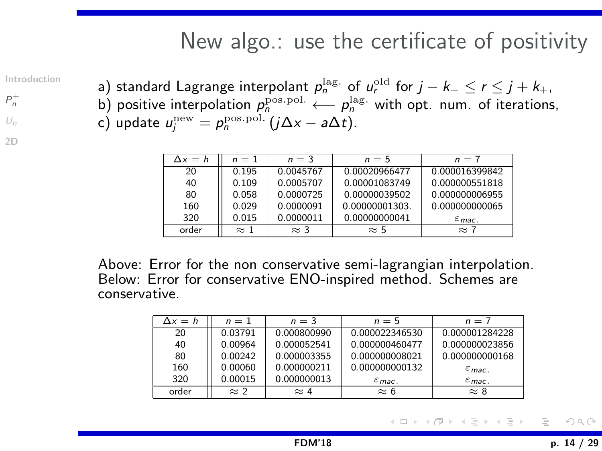#### New algo.: use the certificate of positivity

[Introduction](#page-1-0)

 $P_n^+$  $P_n^+$  $U_n$  $U_n$ [2D](#page-23-0) <span id="page-13-0"></span>a) standard Lagrange interpolant  $\rho_n^{\rm lag.}$  of  $u^{\rm old}_r$  for  $j-k_- \leq r \leq j+k_+$ , b) positive interpolation  $p_n^{\text{pos.pol.}} \longleftarrow p_n^{\text{lag.}}$  with opt. num. of iterations, c) update  $u_j^{\text{new}} = \rho_n^{\text{pos.pol.}}(j\Delta x - a\Delta t)$ .

| $\Delta x = h$ | $n=1$       | $n = 3$     | $n=5$          | $n = 7$            |
|----------------|-------------|-------------|----------------|--------------------|
| 20             | 0.195       | 0.0045767   | 0.00020966477  | 0.000016399842     |
| 40             | 0.109       | 0.0005707   | 0.00001083749  | 0.000000551818     |
| 80             | 0.058       | 0.0000725   | 0.00000039502  | 0.000000006955     |
| 160            | 0.029       | 0.0000091   | 0.00000001303. | 0.000000000065     |
| 320            | 0.015       | 0.0000011   | 0.00000000041  | $\varepsilon$ mac. |
| order          | $\approx$ 1 | $\approx$ 3 | $\approx$ 5    | $\approx$ 7        |

Above: Error for the non conservative semi-lagrangian interpolation. Below: Error for conservative ENO-inspired method. Schemes are conservative.

| $\Delta x = h$ | $n=1$       | $n = 3$     | $n=5$              | $n = 7$             |
|----------------|-------------|-------------|--------------------|---------------------|
| 20             | 0.03791     | 0.000800990 | 0.000022346530     | 0.000001284228      |
| 40             | 0.00964     | 0.000052541 | 0.000000460477     | 0.000000023856      |
| 80             | 0.00242     | 0.000003355 | 0.000000008021     | 0.000000000168      |
| 160            | 0.00060     | 0.000000211 | 0.000000000132     | $\varepsilon_{mac}$ |
| 320            | 0.00015     | 0.000000013 | $\varepsilon$ mac. | $\varepsilon$ mac.  |
| order          | $\approx$ 2 | $\approx 4$ | $\approx 6$        | $\approx 8$         |

つくい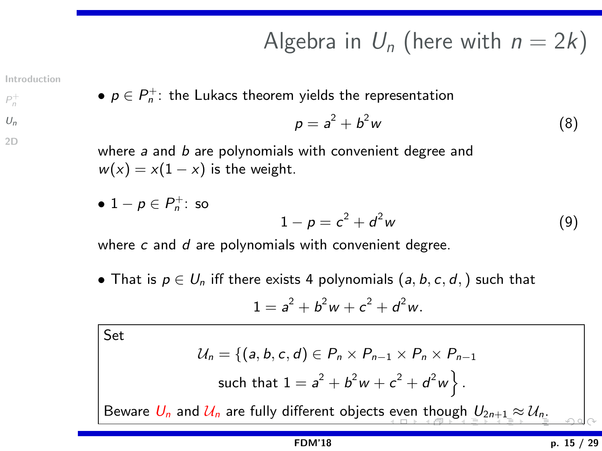# Algebra in  $U_n$  (here with  $n = 2k$ )

[Introduction](#page-1-0)

<span id="page-14-0"></span>• 
$$
p \in P_n^+
$$
: the Lukacs theorem yields the representation

$$
p = a^2 + b^2 w \tag{8}
$$

 $U_n$  $U_n$ [2D](#page-23-0)

 $P_n^+$  $P_n^+$ 

where  $a$  and  $b$  are polynomials with convenient degree and  $w(x) = x(1-x)$  is the weight.

• 
$$
1 - p \in P_n^+
$$
: so  

$$
1 - p = c^2 + d^2 w
$$
 (9)

where  $c$  and  $d$  are polynomials with convenient degree.

• That is  $p \in U_n$  iff there exists 4 polynomials  $(a, b, c, d)$  such that  $1 = a^2 + b^2w + c^2 + d^2w.$ 

Set

$$
\mathcal{U}_n = \{ (a, b, c, d) \in P_n \times P_{n-1} \times P_n \times P_{n-1} \text{such that } 1 = a^2 + b^2 w + c^2 + d^2 w \}.
$$

Beware  $U_n$  $U_n$  and  $U_n$  are fully different objects [ev](#page-13-0)[en](#page-15-0) [t](#page-13-0)[hou](#page-14-0)[g](#page-15-0)[h](#page-13-0)  $U_{2n+1} \approx U_{n}$  $U_{2n+1} \approx U_{n}$  $U_{2n+1} \approx U_{n}$  $U_{2n+1} \approx U_{n}$  $U_{2n+1} \approx U_{n}$  $U_{2n+1} \approx U_{n}$  $U_{2n+1} \approx U_{n}$  $U_{2n+1} \approx U_{n}$ [.](#page-28-0)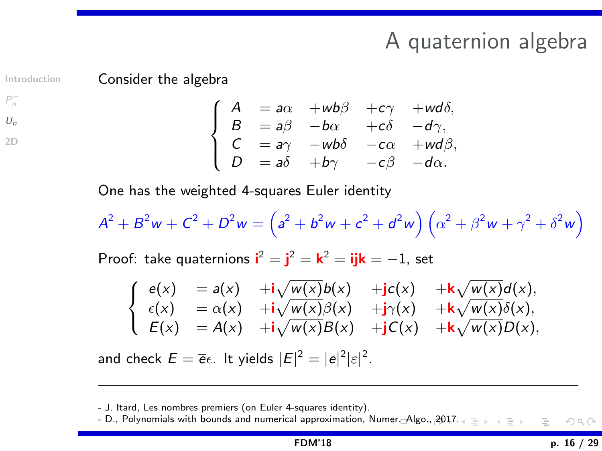## A quaternion algebra

Consider the algebra

[Introduction](#page-1-0)

<span id="page-15-0"></span>

 $P_n^+$  $P_n^+$  $U_n$  $U_n$ 

[2D](#page-23-0)

 $\sqrt{ }$  $\int$  $\mathbf{I}$  $A = a\alpha + w b\beta + c\gamma + w d\delta,$  $B = a\beta - b\alpha + c\delta - d\gamma,$  $C = a\gamma$  –wb $\delta$  –c $\alpha$  +wd $\beta$ ,  $D = a\delta + b\gamma - c\beta - d\alpha.$ 

One has the weighted 4-squares Euler identity

 $A^2 + B^2w + C^2 + D^2w = (a^2 + b^2w + c^2 + d^2w)(\alpha^2 + \beta^2w + \gamma^2 + \delta^2w)$ 

Proof: take quaternions  $\mathbf{i}^2 = \mathbf{j}^2 = \mathbf{k}^2 = \mathbf{ijk} = -1$ , set

$$
\left\{\begin{array}{lll} e(x)&=a(x)&+i\sqrt{w(x)}b(x)&+jc(x)&+k\sqrt{w(x)}d(x),\\ \epsilon(x)&=\alpha(x)&+i\sqrt{w(x)}\beta(x)&+j\gamma(x)&+k\sqrt{w(x)}\delta(x),\\ E(x)&=A(x)&+i\sqrt{w(x)}B(x)&+jC(x)&+k\sqrt{w(x)}D(x), \end{array}\right.
$$

and check  $E = \overline{e} \epsilon$ . It yields  $|E|^2 = |e|^2 |\varepsilon|^2$ .

<sup>-</sup> J. Itard, Les nombres premiers (on Euler 4-squares identity).

<sup>-</sup> D., Polynomials with bounds and numerical approximation, Nu[mer.](#page-14-0) [Alg](#page-16-0)[o.,](#page-14-0) [20](#page-15-0)[17](#page-16-0)[.](#page-13-0)  $OQ$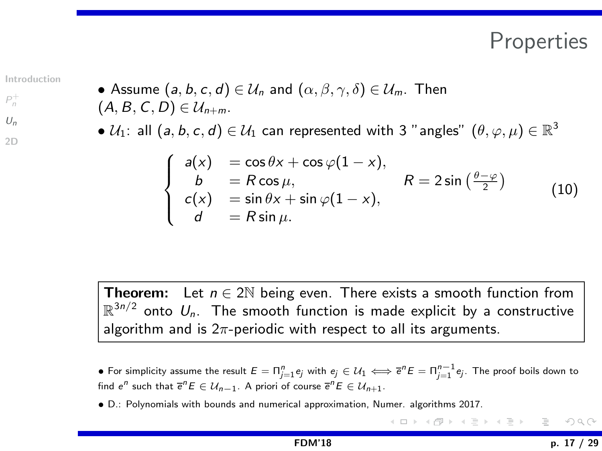### Properties

[Introduction](#page-1-0)

 $P_n^+$  $P_n^+$  $U_n$  $U_n$ [2D](#page-23-0)

<span id="page-16-0"></span>• Assume 
$$
(a, b, c, d) \in \mathcal{U}_n
$$
 and  $(\alpha, \beta, \gamma, \delta) \in \mathcal{U}_m$ . Then  $(A, B, C, D) \in \mathcal{U}_{n+m}$ .

 $\bullet$   $\mathcal{U}_1$ : all  $(a,b,c,d)\in\mathcal{U}_1$  can represented with 3 "angles"  $(\theta,\varphi,\mu)\in\mathbb{R}^3$ 

$$
\begin{cases}\n a(x) = \cos \theta x + \cos \varphi (1 - x), \\
 b = R \cos \mu, \\
 c(x) = \sin \theta x + \sin \varphi (1 - x), \\
 d = R \sin \mu.\n\end{cases}\nR = 2 \sin \left(\frac{\theta - \varphi}{2}\right)
$$
\n(10)

**Theorem:** Let  $n \in 2\mathbb{N}$  being even. There exists a smooth function from  $\mathbb{R}^{3n/2}$  onto  $U_n$ . The smooth function is made explicit by a constructive algorithm and is  $2\pi$ -periodic with respect to all its arguments.

- $\bullet$  For simplicity assume the result  $E=\Pi_{j=1}^n e_j$  with  $e_j\in\mathcal{U}_1\Longleftrightarrow \overline{e}^nE=\Pi_{j=1}^{n-1}e_j.$  The proof boils down to find  $e^n$  such that  $\overline{e}^n E \in \mathcal{U}_{n-1}$ . A priori of course  $\overline{e}^n E \in \mathcal{U}_{n+1}$ .
- D.: Polynomials with bounds and numerical approximation, Numer. algorithms 2017.

イロト イ押 トイヨ トイヨト  $\equiv$  $OQ$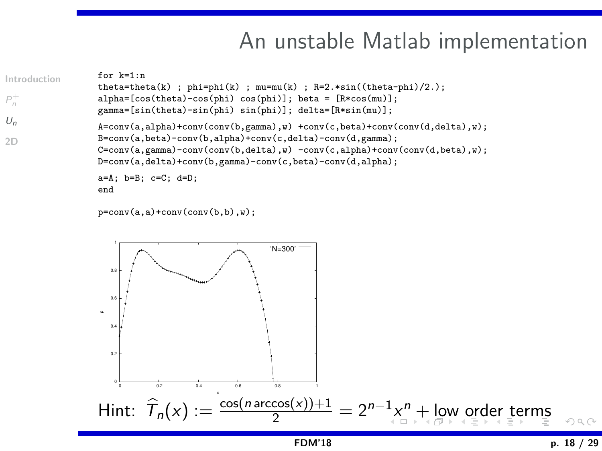## An unstable Matlab implementation

```
Introduction
P_n^+U_n2D
                  for k=1:ntheta=theta(k) ; phi=phi(k) ; mu=mu(k) ; R=2.*sin((theta-phi)/2.);
                  alpha=[cos(theta)-cos(phi) cos(phi)]; beta = [R*cos(mu)];
                  gamma=[sin(theta)-sin(phi) sin(phi)]; delta=[R*sin(mu)];
                  A = \text{conv}(a, a)tha)+conv(conv(b,gamma),w) +conv(c,beta)+conv(conv(d,delta),w);
                  B=conv(a,beta)-conv(b,alpha)+conv(c,delta)-conv(d,gamma);
                  C=conv(a,gamma)-conv(conv(b,delta),w) -conv(c,alpha)+conv(conv(d,beta),w);
                  D=conv(a,delta)+conv(b,gamma)-conv(c,beta)-conv(d,alpha);
                  a=A; b=B; c=C; d=D;
                  end
```

```
p=conv(a,a)+conv(conv(b,b),w);
```
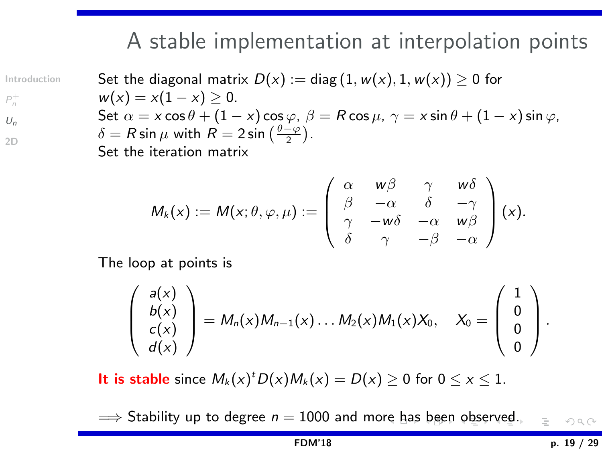## <span id="page-18-0"></span>A stable implementation at interpolation points

[Introduction](#page-1-0)

 $P_n^+$  $P_n^+$  $U_n$  $U_n$ 

[2D](#page-23-0)

Set the diagonal matrix  $D(x) := diag(1, w(x), 1, w(x)) \ge 0$  for  $w(x) = x(1-x) > 0.$ Set  $\alpha = x \cos \theta + (1 - x) \cos \varphi$ ,  $\beta = R \cos \mu$ ,  $\gamma = x \sin \theta + (1 - x) \sin \varphi$ ,  $\delta = R \sin \mu$  with  $R = 2 \sin \left( \frac{\theta - \varphi}{2} \right)$ . Set the iteration matrix

$$
M_k(x) := M(x; \theta, \varphi, \mu) := \begin{pmatrix} \alpha & w\beta & \gamma & w\delta \\ \beta & -\alpha & \delta & -\gamma \\ \gamma & -w\delta & -\alpha & w\beta \\ \delta & \gamma & -\beta & -\alpha \end{pmatrix} (x).
$$

The loop at points is

$$
\left(\begin{array}{c}a(x)\\b(x)\\c(x)\\d(x)\end{array}\right)=M_n(x)M_{n-1}(x)\ldots M_2(x)M_1(x)X_0,\quad X_0=\left(\begin{array}{c}1\\0\\0\\0\end{array}\right).
$$

It is stable since  $M_k(x)^t D(x) M_k(x) = D(x) \ge 0$  for  $0 \le x \le 1$ .

 $\implies$  $\implies$  Stability up to deg[re](#page-17-0)[e](#page-14-0)  $n = 1000$  $n = 1000$  and more h[as](#page-19-0) [b](#page-17-0)[ee](#page-18-0)n [o](#page-13-0)[b](#page-14-0)s[er](#page-23-0)[v](#page-13-0)e[d.](#page-22-0)  $\mathcal{L} \subset \mathcal{L}$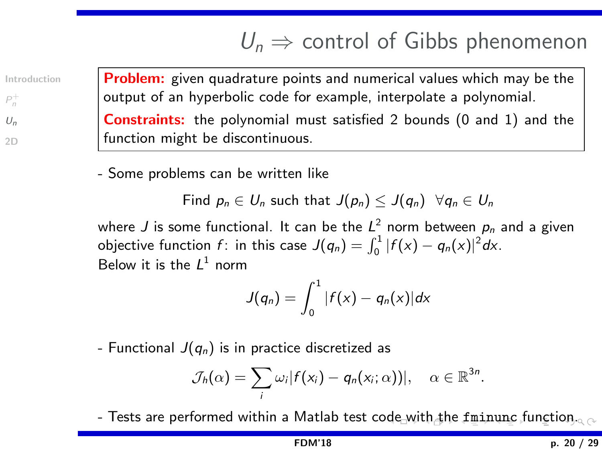# $U_n \Rightarrow$  control of Gibbs phenomenon

[Introduction](#page-1-0)

 $P_n^+$  $P_n^+$  $U_n$  $U_n$ 

[2D](#page-23-0)

<span id="page-19-0"></span>Problem: given quadrature points and numerical values which may be the output of an hyperbolic code for example, interpolate a polynomial.

Constraints: the polynomial must satisfied 2 bounds (0 and 1) and the function might be discontinuous.

- Some problems can be written like

Find  $p_n \in U_n$  such that  $J(p_n) \leq J(q_n)$   $\forall q_n \in U_n$ 

where  $J$  is some functional. It can be the  $L^2$  norm between  $\rho_n$  and a given objective function  $f$ : in this case  $J(q_n) = \int_0^1 |f(x) - q_n(x)|^2 dx$ . Below it is the  $L^1$  norm

$$
J(q_n)=\int_0^1|f(x)-q_n(x)|dx
$$

- Functional  $J(q_n)$  is in practice discretized as

$$
\mathcal{J}_h(\alpha)=\sum_i \omega_i |f(x_i)-q_n(x_i;\alpha))|, \quad \alpha \in \mathbb{R}^{3n}.
$$

- Tests are performed within a Matlab test c[ode](#page-18-0) [wi](#page-20-0)[th](#page-18-0) [th](#page-19-0)[e](#page-20-0) [f](#page-23-0)[mi](#page-22-0)[n](#page-14-0)[u](#page-13-0)n[c](#page-22-0) f[un](#page-0-0)[ctio](#page-28-0)n.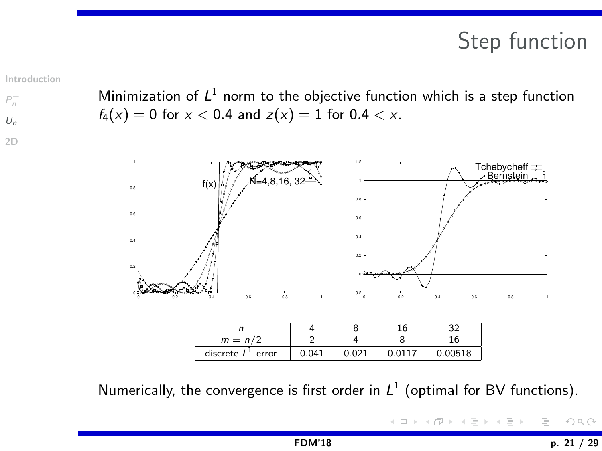# Step function

[Introduction](#page-1-0)

 $P_n^+$  $P_n^+$  $U_n$  $U_n$ [2D](#page-23-0)

<span id="page-20-0"></span>Minimization of  $L^1$  norm to the objective function which is a step function  $f_4(x) = 0$  for  $x < 0.4$  and  $z(x) = 1$  for  $0.4 < x$ .



Numerically, the convergence is first order in  $L^1$  (optimal for BV functions).

コミドコミド  $\equiv$  $OQ$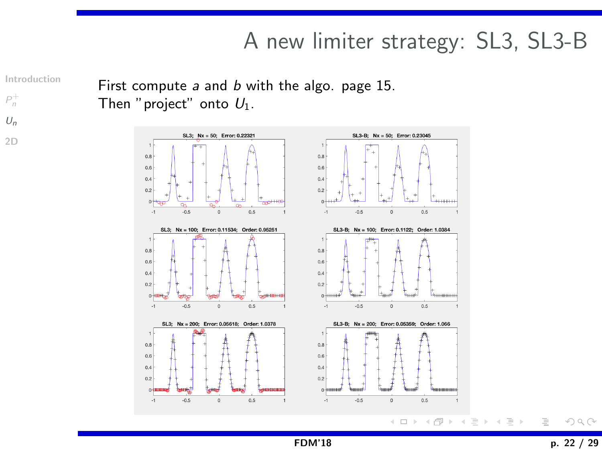# A new limiter strategy: SL3, SL3-B

[Introduction](#page-1-0)

 $P_n^+$  $P_n^+$ 

 $U_n$  $U_n$ 

[2D](#page-23-0)

First compute a and b with the algo. page 15. Then "project" onto  $U_1$ .

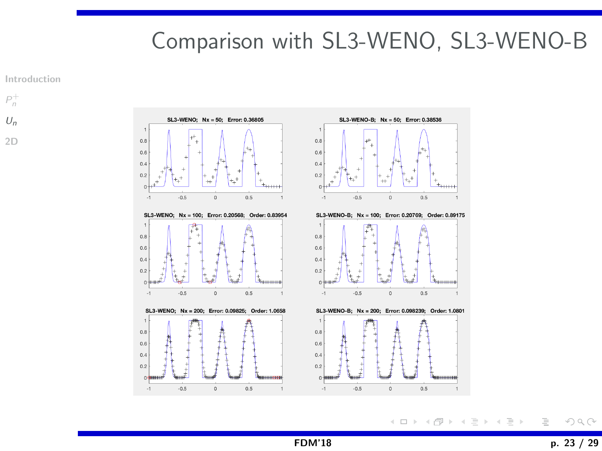# <span id="page-22-0"></span>Comparison with SL3-WENO, SL3-WENO-B

[Introduction](#page-1-0)

 $P_n^+$  $P_n^+$  $U_n$  $U_n$ [2D](#page-23-0)



イロト イ部 トイモト イモト  $OQ$  $\equiv$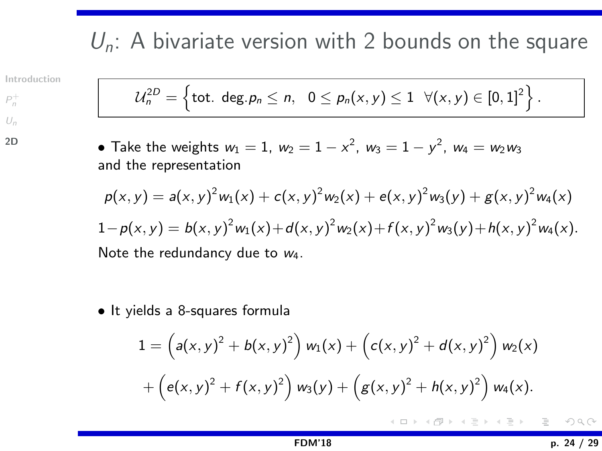# <span id="page-23-0"></span> $U_n$ : A bivariate version with 2 bounds on the square

[Introduction](#page-1-0)

 $P_n^+$  $P_n^+$  $U_n$  $U_n$ [2D](#page-23-0)

$$
\mathcal{U}_n^{2D} = \left\{ \text{tot. deg.} \, p_n \leq n, \quad 0 \leq p_n(x,y) \leq 1 \quad \forall (x,y) \in [0,1]^2 \right\}.
$$

• Take the weights  $w_1 = 1$ ,  $w_2 = 1 - x^2$ ,  $w_3 = 1 - y^2$ ,  $w_4 = w_2w_3$ and the representation

$$
p(x,y) = a(x,y)^2 w_1(x) + c(x,y)^2 w_2(x) + e(x,y)^2 w_3(y) + g(x,y)^2 w_4(x)
$$
  
\n
$$
1 - p(x,y) = b(x,y)^2 w_1(x) + d(x,y)^2 w_2(x) + f(x,y)^2 w_3(y) + h(x,y)^2 w_4(x).
$$
  
\nNote the redundancy due to  $w_4$ .

• It yields a 8-squares formula

$$
1 = \left(a(x, y)^2 + b(x, y)^2\right) w_1(x) + \left(c(x, y)^2 + d(x, y)^2\right) w_2(x) + \left(e(x, y)^2 + f(x, y)^2\right) w_3(y) + \left(g(x, y)^2 + h(x, y)^2\right) w_4(x).
$$

メイモメイモメー  $OQ$ ≣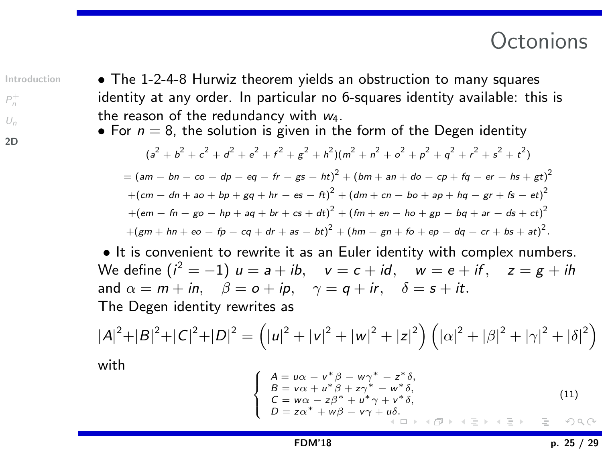#### **Octonions**

[Introduction](#page-1-0)

 $P_n^+$  $P_n^+$  $U_n$  $U_n$ 

[2D](#page-23-0)

• The 1-2-4-8 Hurwiz theorem yields an obstruction to many squares identity at any order. In particular no 6-squares identity available: this is the reason of the redundancy with w4.

• For  $n = 8$ , the solution is given in the form of the Degen identity

$$
(a^{2} + b^{2} + c^{2} + d^{2} + e^{2} + f^{2} + g^{2} + h^{2})(m^{2} + n^{2} + o^{2} + p^{2} + q^{2} + r^{2} + s^{2} + t^{2})
$$
  
=  $(am - bn - co - dp - eq - fr - gs - ht)^{2} + (bm + an + do - cp + fq - er - hs + gt)^{2}$   
+ $(cm - dn + ao + bp + gq + hr - es - ft)^{2} + (dm + cn - bo + ap + hq - gr + fs - et)^{2}$   
+ $(em - fn - go - hp + aq + br + cs + dt)^{2} + (fm + en - ho + gp - bq + ar - ds + ct)^{2}$   
+ $(gm + hn + eo - fp - cq + dr + as - bt)^{2} + (hm - gn + fo + ep - dq - cr + bs + at)^{2}$ .

• It is convenient to rewrite it as an Euler identity with complex numbers. We define  $(i^2=-1)$   $u=a+ib$ ,  $v=c+id$ ,  $w=e+if$ ,  $z=g+ih$ and  $\alpha = m + in$ ,  $\beta = o + ip$ ,  $\gamma = q + ir$ ,  $\delta = s + it$ . The Degen identity rewrites as

$$
|A|^2 + |B|^2 + |C|^2 + |D|^2 = (|u|^2 + |v|^2 + |w|^2 + |z|^2) (|\alpha|^2 + |\beta|^2 + |\gamma|^2 + |\delta|^2)
$$

with

$$
\begin{cases}\nA = u\alpha - v^*\beta - w\gamma^* - z^*\delta, \\
B = v\alpha + u^*\beta + z\gamma^* - w^*\delta, \\
C = w\alpha - z\beta^* + u^*\gamma + v^*\delta, \\
D = z\alpha^* + w\beta - v\gamma + u\delta, \\
\phi = \alpha + \beta + \gamma + \beta.\n\end{cases}
$$
\n(11)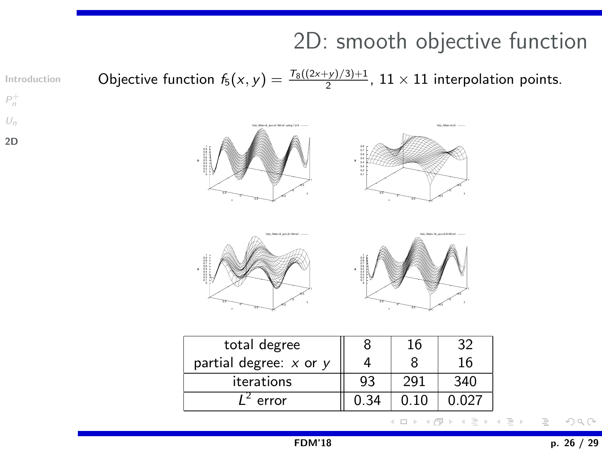# 2D: smooth objective function

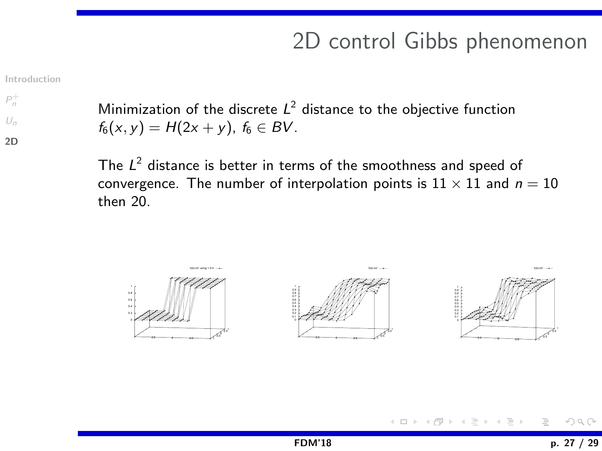# 2D control Gibbs phenomenon

[Introduction](#page-1-0)

 $P_n^+$  $P_n^+$  $U_n$  $U_n$ 

[2D](#page-23-0)

Minimization of the discrete  $L^2$  distance to the objective function  $f_6(x, y) = H(2x + y)$ ,  $f_6 \in BV$ .

The  $L^2$  distance is better in terms of the smoothness and speed of convergence. The number of interpolation points is  $11 \times 11$  and  $n = 10$ then 20.



 $OQ$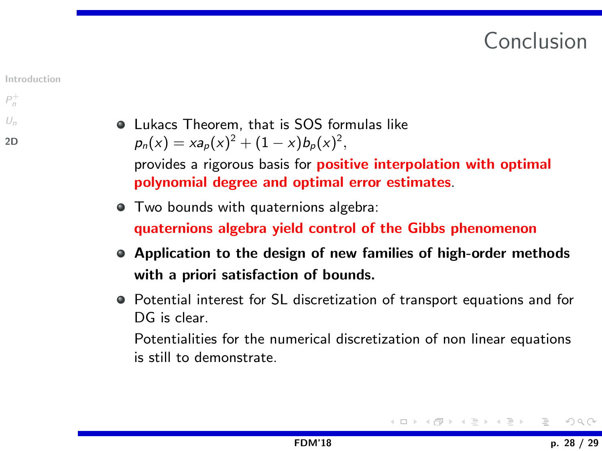# Conclusion



#### $P_n^+$  $P_n^+$  $U_n$  $U_n$

[2D](#page-23-0)

Lukacs Theorem, that is SOS formulas like  $p_n(x) = x a_p(x)^2 + (1 - x) b_p(x)^2$ provides a rigorous basis for **positive interpolation with optimal** polynomial degree and optimal error estimates.

- $\bullet$  Two bounds with quaternions algebra: quaternions algebra yield control of the Gibbs phenomenon
- Application to the design of new families of high-order methods with a priori satisfaction of bounds.
- Potential interest for SL discretization of transport equations and for DG is clear.

Potentialities for the numerical discretization of non linear equations is still to demonstrate.

$$
A \sqcap B \rightarrow A \sqsubseteq B \rightarrow A \sqsubseteq B \rightarrow A \sqsubseteq B \rightarrow O \cup O
$$